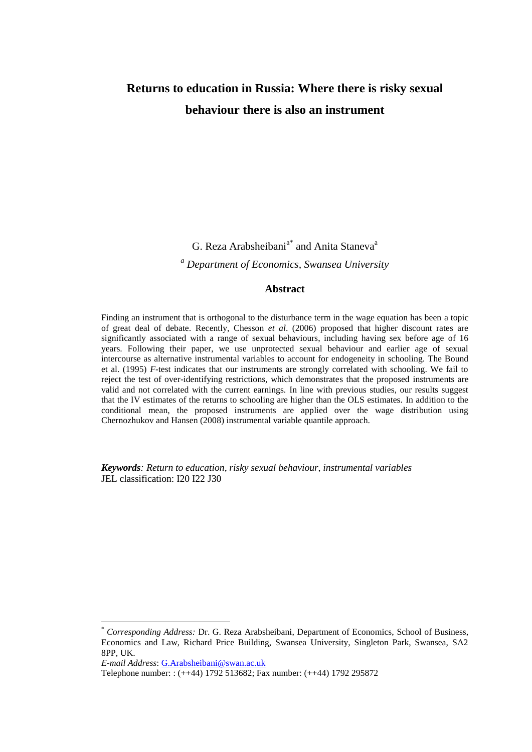# **Returns to education in Russia: Where there is risky sexual behaviour there is also an instrument**

G. Reza Arabsheibani<sup>a\*</sup> and Anita Staneva<sup>a</sup>

*<sup>a</sup> Department of Economics, Swansea University*

## **Abstract**

Finding an instrument that is orthogonal to the disturbance term in the wage equation has been a topic of great deal of debate. Recently, Chesson *et al*. (2006) proposed that higher discount rates are significantly associated with a range of sexual behaviours, including having sex before age of 16 years. Following their paper, we use unprotected sexual behaviour and earlier age of sexual intercourse as alternative instrumental variables to account for endogeneity in schooling. The Bound et al. (1995) *F*-test indicates that our instruments are strongly correlated with schooling. We fail to reject the test of over-identifying restrictions, which demonstrates that the proposed instruments are valid and not correlated with the current earnings. In line with previous studies, our results suggest that the IV estimates of the returns to schooling are higher than the OLS estimates. In addition to the conditional mean, the proposed instruments are applied over the wage distribution using Chernozhukov and Hansen (2008) instrumental variable quantile approach.

*Keywords: Return to education, risky sexual behaviour, instrumental variables*  JEL classification: I20 I22 J30

*E-mail Address*[: G.Arabsheibani@swan.ac.uk](mailto:G.Arabsheibani@swan.ac.uk)

 $\overline{a}$ 

<sup>\*</sup> *Corresponding Address:* Dr. G. Reza Arabsheibani, Department of Economics, School of Business, Economics and Law, Richard Price Building, Swansea University, Singleton Park, Swansea, SA2 8PP, UK.

Telephone number: : (++44) 1792 513682; Fax number: (++44) 1792 295872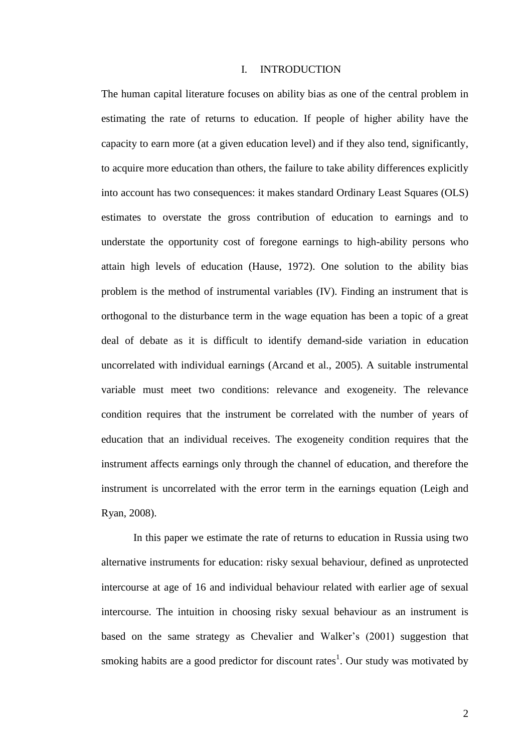#### I. INTRODUCTION

The human capital literature focuses on ability bias as one of the central problem in estimating the rate of returns to education. If people of higher ability have the capacity to earn more (at a given education level) and if they also tend, significantly, to acquire more education than others, the failure to take ability differences explicitly into account has two consequences: it makes standard Ordinary Least Squares (OLS) estimates to overstate the gross contribution of education to earnings and to understate the opportunity cost of foregone earnings to high-ability persons who attain high levels of education (Hause, 1972). One solution to the ability bias problem is the method of instrumental variables (IV). Finding an instrument that is orthogonal to the disturbance term in the wage equation has been a topic of a great deal of debate as it is difficult to identify demand-side variation in education uncorrelated with individual earnings (Arcand et al., 2005). A suitable instrumental variable must meet two conditions: relevance and exogeneity. The relevance condition requires that the instrument be correlated with the number of years of education that an individual receives. The exogeneity condition requires that the instrument affects earnings only through the channel of education, and therefore the instrument is uncorrelated with the error term in the earnings equation (Leigh and Ryan, 2008).

In this paper we estimate the rate of returns to education in Russia using two alternative instruments for education: risky sexual behaviour, defined as unprotected intercourse at age of 16 and individual behaviour related with earlier age of sexual intercourse. The intuition in choosing risky sexual behaviour as an instrument is based on the same strategy as Chevalier and Walker's (2001) suggestion that smoking habits are a good predictor for discount rates<sup>1</sup>. Our study was motivated by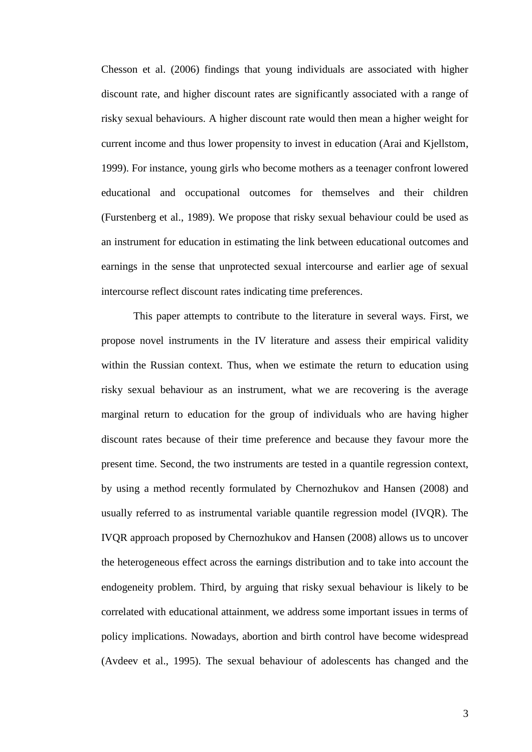Chesson et al. (2006) findings that young individuals are associated with higher discount rate, and higher discount rates are significantly associated with a range of risky sexual behaviours. A higher discount rate would then mean a higher weight for current income and thus lower propensity to invest in education (Arai and Kjellstom, 1999). For instance, young girls who become mothers as a teenager confront lowered educational and occupational outcomes for themselves and their children (Furstenberg et al., 1989). We propose that risky sexual behaviour could be used as an instrument for education in estimating the link between educational outcomes and earnings in the sense that unprotected sexual intercourse and earlier age of sexual intercourse reflect discount rates indicating time preferences.

This paper attempts to contribute to the literature in several ways. First, we propose novel instruments in the IV literature and assess their empirical validity within the Russian context. Thus, when we estimate the return to education using risky sexual behaviour as an instrument, what we are recovering is the average marginal return to education for the group of individuals who are having higher discount rates because of their time preference and because they favour more the present time. Second, the two instruments are tested in a quantile regression context, by using a method recently formulated by Chernozhukov and Hansen (2008) and usually referred to as instrumental variable quantile regression model (IVQR). The IVQR approach proposed by Chernozhukov and Hansen (2008) allows us to uncover the heterogeneous effect across the earnings distribution and to take into account the endogeneity problem. Third, by arguing that risky sexual behaviour is likely to be correlated with educational attainment, we address some important issues in terms of policy implications. Nowadays, abortion and birth control have become widespread (Avdeev et al., 1995). The sexual behaviour of adolescents has changed and the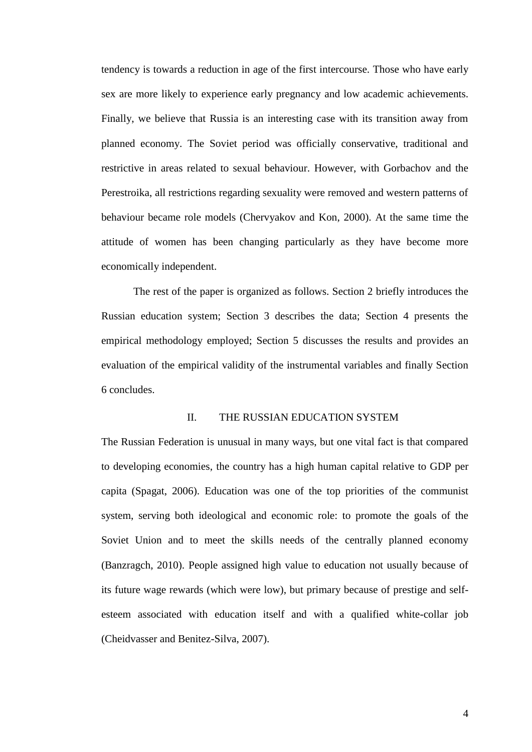tendency is towards a reduction in age of the first intercourse. Those who have early sex are more likely to experience early pregnancy and low academic achievements. Finally, we believe that Russia is an interesting case with its transition away from planned economy. The Soviet period was officially conservative, traditional and restrictive in areas related to sexual behaviour. However, with Gorbachov and the Perestroika, all restrictions regarding sexuality were removed and western patterns of behaviour became role models (Chervyakov and Kon, 2000). At the same time the attitude of women has been changing particularly as they have become more economically independent.

The rest of the paper is organized as follows. Section 2 briefly introduces the Russian education system; Section 3 describes the data; Section 4 presents the empirical methodology employed; Section 5 discusses the results and provides an evaluation of the empirical validity of the instrumental variables and finally Section 6 concludes.

### II. THE RUSSIAN EDUCATION SYSTEM

The Russian Federation is unusual in many ways, but one vital fact is that compared to developing economies, the country has a high human capital relative to GDP per capita (Spagat, 2006). Education was one of the top priorities of the communist system, serving both ideological and economic role: to promote the goals of the Soviet Union and to meet the skills needs of the centrally planned economy (Banzragch, 2010). People assigned high value to education not usually because of its future wage rewards (which were low), but primary because of prestige and selfesteem associated with education itself and with a qualified white-collar job (Cheidvasser and Benitez-Silva, 2007).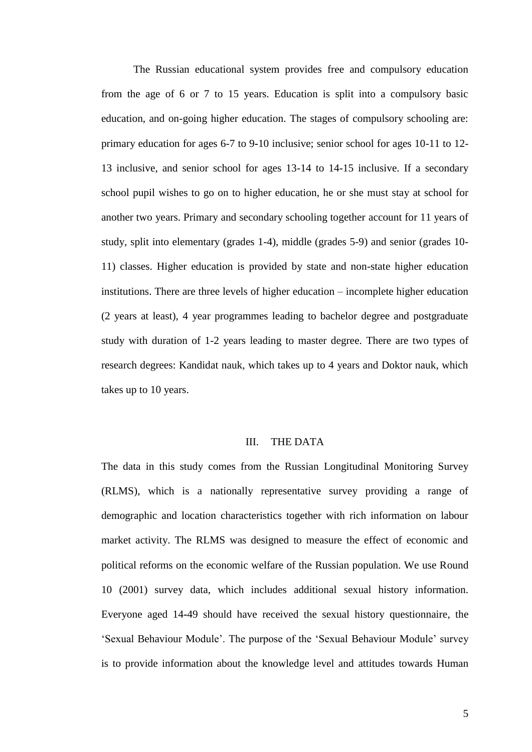The Russian educational system provides free and compulsory education from the age of 6 or 7 to 15 years. Education is split into a compulsory basic education, and on-going higher education. The stages of compulsory schooling are: primary education for ages 6-7 to 9**-**10 inclusive; senior school for ages 10-11 to 12- 13 inclusive, and senior school for ages 13-14 to 14-15 inclusive. If a secondary school pupil wishes to go on to higher education, he or she must stay at school for another two years. Primary and secondary schooling together account for 11 years of study, split into elementary (grades 1-4), middle (grades 5-9) and senior (grades 10- 11) classes. Higher education is provided by state and non-state higher education institutions. There are three levels of higher education – incomplete higher education (2 years at least), 4 year programmes leading to bachelor degree and postgraduate study with duration of 1-2 years leading to master degree. There are two types of research degrees: Kandidat nauk, which takes up to 4 years and Doktor nauk, which takes up to 10 years.

#### III. THE DATA

The data in this study comes from the Russian Longitudinal Monitoring Survey (RLMS), which is a nationally representative survey providing a range of demographic and location characteristics together with rich information on labour market activity. The RLMS was designed to measure the effect of economic and political reforms on the economic welfare of the Russian population. We use Round 10 (2001) survey data, which includes additional sexual history information. Everyone aged 14**-**49 should have received the sexual history questionnaire, the 'Sexual Behaviour Module'. The purpose of the 'Sexual Behaviour Module' survey is to provide information about the knowledge level and attitudes towards Human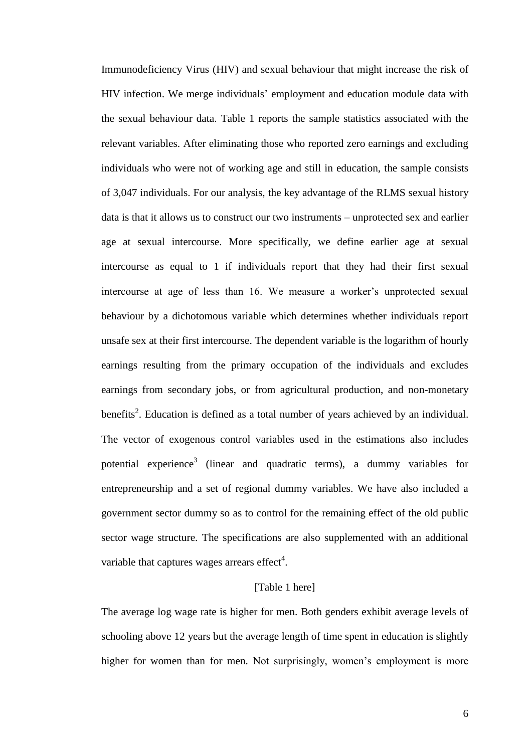Immunodeficiency Virus (HIV) and sexual behaviour that might increase the risk of HIV infection. We merge individuals' employment and education module data with the sexual behaviour data. Table 1 reports the sample statistics associated with the relevant variables. After eliminating those who reported zero earnings and excluding individuals who were not of working age and still in education, the sample consists of 3,047 individuals. For our analysis, the key advantage of the RLMS sexual history data is that it allows us to construct our two instruments – unprotected sex and earlier age at sexual intercourse. More specifically, we define earlier age at sexual intercourse as equal to 1 if individuals report that they had their first sexual intercourse at age of less than 16. We measure a worker's unprotected sexual behaviour by a dichotomous variable which determines whether individuals report unsafe sex at their first intercourse. The dependent variable is the logarithm of hourly earnings resulting from the primary occupation of the individuals and excludes earnings from secondary jobs, or from agricultural production, and non-monetary benefits<sup>2</sup>. Education is defined as a total number of years achieved by an individual. The vector of exogenous control variables used in the estimations also includes potential experience<sup>3</sup> (linear and quadratic terms), a dummy variables for entrepreneurship and a set of regional dummy variables. We have also included a government sector dummy so as to control for the remaining effect of the old public sector wage structure. The specifications are also supplemented with an additional variable that captures wages arrears effect<sup>4</sup>.

### [Table 1 here]

The average log wage rate is higher for men. Both genders exhibit average levels of schooling above 12 years but the average length of time spent in education is slightly higher for women than for men. Not surprisingly, women's employment is more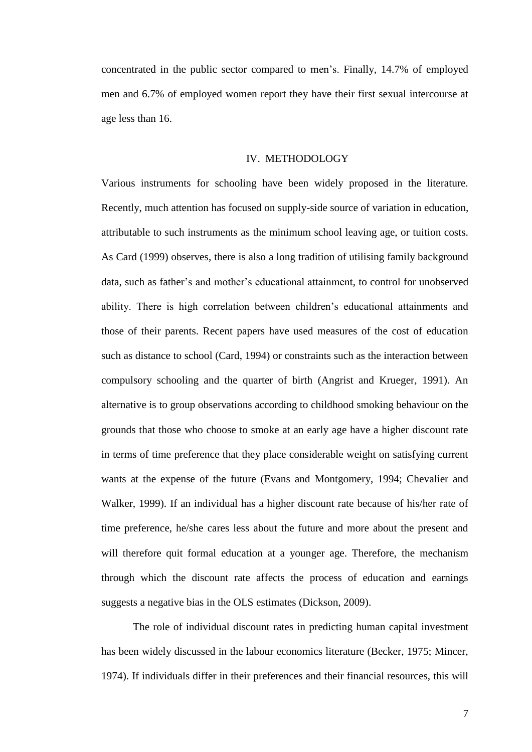concentrated in the public sector compared to men's. Finally, 14.7% of employed men and 6.7% of employed women report they have their first sexual intercourse at age less than 16.

#### IV. METHODOLOGY

Various instruments for schooling have been widely proposed in the literature. Recently, much attention has focused on supply-side source of variation in education, attributable to such instruments as the minimum school leaving age, or tuition costs. As Card (1999) observes, there is also a long tradition of utilising family background data, such as father's and mother's educational attainment, to control for unobserved ability. There is high correlation between children's educational attainments and those of their parents. Recent papers have used measures of the cost of education such as distance to school (Card, 1994) or constraints such as the interaction between compulsory schooling and the quarter of birth (Angrist and Krueger, 1991). An alternative is to group observations according to childhood smoking behaviour on the grounds that those who choose to smoke at an early age have a higher discount rate in terms of time preference that they place considerable weight on satisfying current wants at the expense of the future (Evans and Montgomery, 1994; Chevalier and Walker, 1999). If an individual has a higher discount rate because of his/her rate of time preference, he/she cares less about the future and more about the present and will therefore quit formal education at a younger age. Therefore, the mechanism through which the discount rate affects the process of education and earnings suggests a negative bias in the OLS estimates (Dickson, 2009).

The role of individual discount rates in predicting human capital investment has been widely discussed in the labour economics literature (Becker, 1975; Mincer, 1974). If individuals differ in their preferences and their financial resources, this will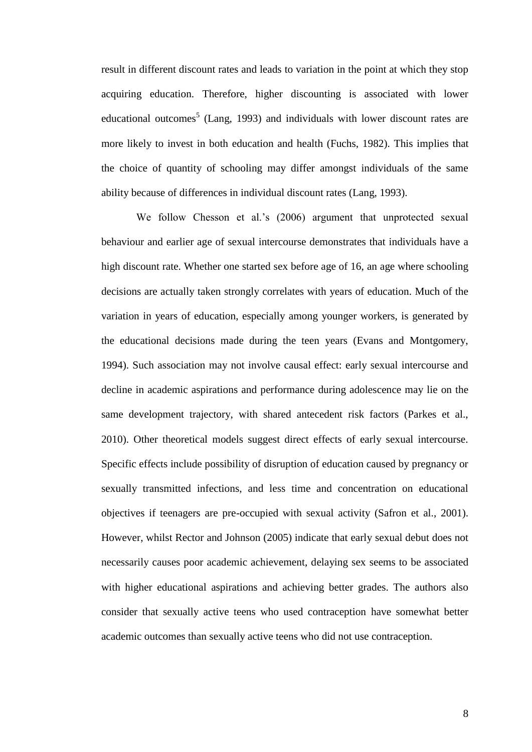result in different discount rates and leads to variation in the point at which they stop acquiring education. Therefore, higher discounting is associated with lower educational outcomes<sup>5</sup> (Lang, 1993) and individuals with lower discount rates are more likely to invest in both education and health (Fuchs, 1982). This implies that the choice of quantity of schooling may differ amongst individuals of the same ability because of differences in individual discount rates (Lang, 1993).

We follow Chesson et al.'s (2006) argument that unprotected sexual behaviour and earlier age of sexual intercourse demonstrates that individuals have a high discount rate. Whether one started sex before age of 16, an age where schooling decisions are actually taken strongly correlates with years of education. Much of the variation in years of education, especially among younger workers, is generated by the educational decisions made during the teen years (Evans and Montgomery, 1994). Such association may not involve causal effect: early sexual intercourse and decline in academic aspirations and performance during adolescence may lie on the same development trajectory, with shared antecedent risk factors (Parkes et al., 2010). Other theoretical models suggest direct effects of early sexual intercourse. Specific effects include possibility of disruption of education caused by pregnancy or sexually transmitted infections, and less time and concentration on educational objectives if teenagers are pre-occupied with sexual activity (Safron et al., 2001). However, whilst Rector and Johnson (2005) indicate that early sexual debut does not necessarily causes poor academic achievement, delaying sex seems to be associated with higher educational aspirations and achieving better grades. The authors also consider that sexually active teens who used contraception have somewhat better academic outcomes than sexually active teens who did not use contraception.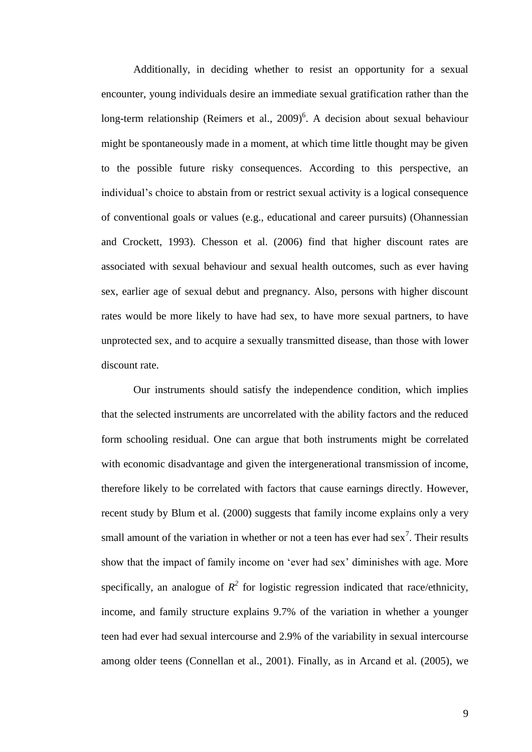Additionally, in deciding whether to resist an opportunity for a sexual encounter, young individuals desire an immediate sexual gratification rather than the long-term relationship (Reimers et al., 2009)<sup>6</sup>. A decision about sexual behaviour might be spontaneously made in a moment, at which time little thought may be given to the possible future risky consequences. According to this perspective, an individual's choice to abstain from or restrict sexual activity is a logical consequence of conventional goals or values (e.g., educational and career pursuits) (Ohannessian and Crockett, 1993). Chesson et al. (2006) find that higher discount rates are associated with sexual behaviour and sexual health outcomes, such as ever having sex, earlier age of sexual debut and pregnancy. Also, persons with higher discount rates would be more likely to have had sex, to have more sexual partners, to have unprotected sex, and to acquire a sexually transmitted disease, than those with lower discount rate.

Our instruments should satisfy the independence condition, which implies that the selected instruments are uncorrelated with the ability factors and the reduced form schooling residual. One can argue that both instruments might be correlated with economic disadvantage and given the intergenerational transmission of income, therefore likely to be correlated with factors that cause earnings directly. However, recent study by Blum et al. (2000) suggests that family income explains only a very small amount of the variation in whether or not a teen has ever had sex<sup>7</sup>. Their results show that the impact of family income on 'ever had sex' diminishes with age. More specifically, an analogue of  $R^2$  for logistic regression indicated that race/ethnicity, income, and family structure explains 9.7% of the variation in whether a younger teen had ever had sexual intercourse and 2.9% of the variability in sexual intercourse among older teens (Connellan et al., 2001). Finally, as in Arcand et al. (2005), we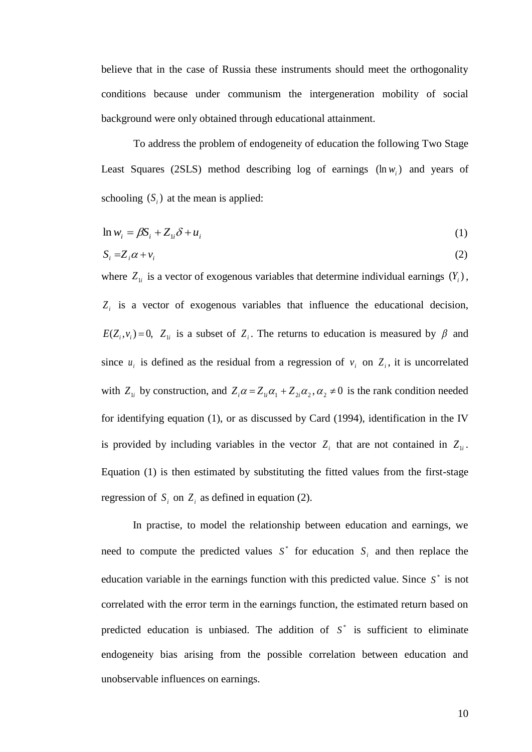believe that in the case of Russia these instruments should meet the orthogonality conditions because under communism the intergeneration mobility of social background were only obtained through educational attainment.

To address the problem of endogeneity of education the following Two Stage Least Squares (2SLS) method describing log of earnings  $(\ln w_i)$  and years of schooling  $(S_i)$  at the mean is applied:

$$
\ln w_i = \beta S_i + Z_{1i} \delta + u_i \tag{1}
$$

$$
S_i = Z_i \alpha + v_i \tag{2}
$$

where  $Z_{1i}$  is a vector of exogenous variables that determine individual earnings  $(Y_i)$ , *Zi* is a vector of exogenous variables that influence the educational decision,  $E(Z_i, v_i) = 0$ ,  $Z_i$  is a subset of  $Z_i$ . The returns to education is measured by  $\beta$  and since  $u_i$  is defined as the residual from a regression of  $v_i$  on  $Z_i$ , it is uncorrelated with  $Z_{1i}$  by construction, and  $Z_i \alpha = Z_{1i} \alpha_1 + Z_{2i} \alpha_2$ ,  $\alpha_2 \neq 0$  is the rank condition needed for identifying equation (1), or as discussed by Card (1994), identification in the IV is provided by including variables in the vector  $Z_i$  that are not contained in  $Z_{1i}$ . Equation (1) is then estimated by substituting the fitted values from the first-stage regression of  $S_i$  on  $Z_i$  as defined in equation (2).

In practise, to model the relationship between education and earnings, we need to compute the predicted values  $S^*$  for education  $S_i$  and then replace the education variable in the earnings function with this predicted value. Since  $S^*$  is not correlated with the error term in the earnings function, the estimated return based on predicted education is unbiased. The addition of  $S^*$  is sufficient to eliminate endogeneity bias arising from the possible correlation between education and unobservable influences on earnings.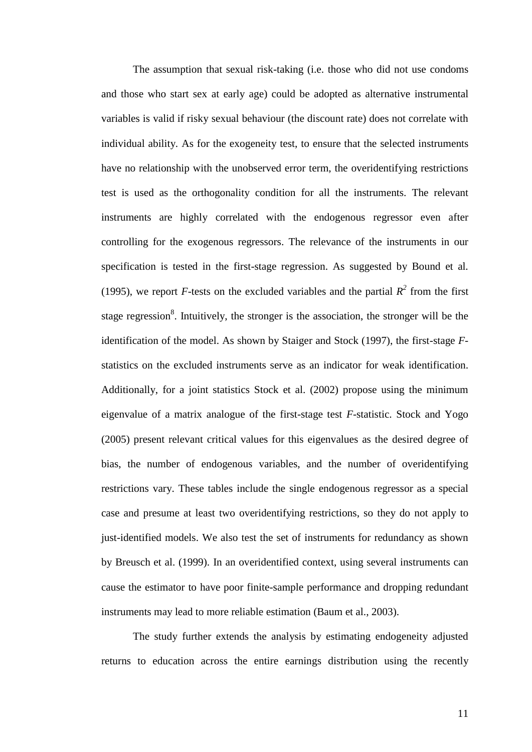The assumption that sexual risk-taking (i.e. those who did not use condoms and those who start sex at early age) could be adopted as alternative instrumental variables is valid if risky sexual behaviour (the discount rate) does not correlate with individual ability. As for the exogeneity test, to ensure that the selected instruments have no relationship with the unobserved error term, the overidentifying restrictions test is used as the orthogonality condition for all the instruments. The relevant instruments are highly correlated with the endogenous regressor even after controlling for the exogenous regressors. The relevance of the instruments in our specification is tested in the first-stage regression. As suggested by Bound et al*.* (1995), we report *F*-tests on the excluded variables and the partial  $R^2$  from the first stage regression<sup>8</sup>. Intuitively, the stronger is the association, the stronger will be the identification of the model. As shown by Staiger and Stock (1997), the first-stage *F*statistics on the excluded instruments serve as an indicator for weak identification. Additionally, for a joint statistics Stock et al. (2002) propose using the minimum eigenvalue of a matrix analogue of the first-stage test *F*-statistic. Stock and Yogo (2005) present relevant critical values for this eigenvalues as the desired degree of bias, the number of endogenous variables, and the number of overidentifying restrictions vary. These tables include the single endogenous regressor as a special case and presume at least two overidentifying restrictions, so they do not apply to just-identified models. We also test the set of instruments for redundancy as shown by Breusch et al. (1999). In an overidentified context, using several instruments can cause the estimator to have poor finite-sample performance and dropping redundant instruments may lead to more reliable estimation (Baum et al., 2003).

The study further extends the analysis by estimating endogeneity adjusted returns to education across the entire earnings distribution using the recently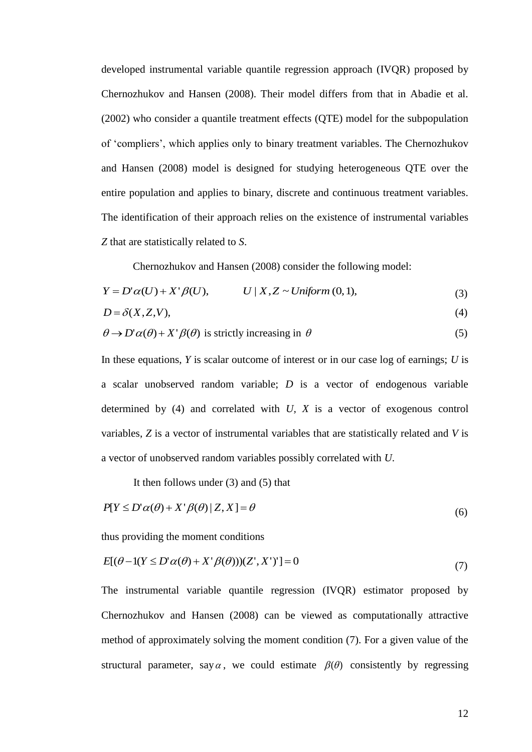developed instrumental variable quantile regression approach (IVQR) proposed by Chernozhukov and Hansen (2008). Their model differs from that in Abadie et al. (2002) who consider a quantile treatment effects (QTE) model for the subpopulation of 'compliers', which applies only to binary treatment variables. The Chernozhukov and Hansen (2008) model is designed for studying heterogeneous QTE over the entire population and applies to binary, discrete and continuous treatment variables. The identification of their approach relies on the existence of instrumental variables *Z* that are statistically related to *S*.

Chernozhukov and Hansen (2008) consider the following model:

$$
Y = D'\alpha(U) + X'\beta(U), \qquad U \mid X, Z \sim Uniform(0, 1), \tag{3}
$$

$$
D = \delta(X, Z, V),\tag{4}
$$

$$
\theta \to D' \alpha(\theta) + X' \beta(\theta)
$$
 is strictly increasing in  $\theta$  (5)

In these equations, *Y* is scalar outcome of interest or in our case log of earnings; *U* is a scalar unobserved random variable; *D* is a vector of endogenous variable determined by (4) and correlated with *U, X* is a vector of exogenous control variables, *Z* is a vector of instrumental variables that are statistically related and *V* is a vector of unobserved random variables possibly correlated with *U*.

It then follows under (3) and (5) that

$$
P[Y \le D'\alpha(\theta) + X'\beta(\theta) | Z, X] = \theta
$$
\n(6)

thus providing the moment conditions

$$
E[(\theta - 1(Y \le D'\alpha(\theta) + X'\beta(\theta)))(Z', X')'] = 0
$$
\n<sup>(7)</sup>

The instrumental variable quantile regression (IVQR) estimator proposed by Chernozhukov and Hansen (2008) can be viewed as computationally attractive method of approximately solving the moment condition (7). For a given value of the structural parameter, say  $\alpha$ , we could estimate  $\beta(\theta)$  consistently by regressing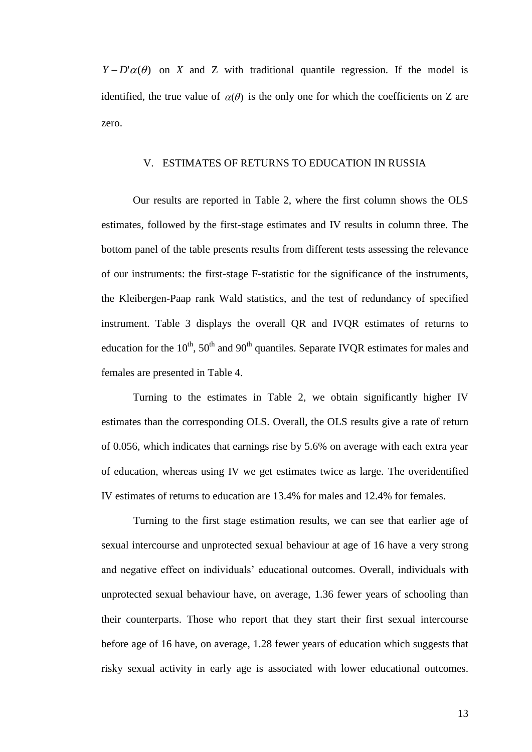$Y - D'\alpha(\theta)$  on *X* and *Z* with traditional quantile regression. If the model is identified, the true value of  $\alpha(\theta)$  is the only one for which the coefficients on Z are zero.

#### V. ESTIMATES OF RETURNS TO EDUCATION IN RUSSIA

 $Y = D'(a(\theta))$  on X and Z with traditional quantile regression. If the model is<br>identified, the true value of  $a(\theta)$  is the only one for which the enefficients on Z are<br>sero.<br><br><br>**V.** ESTIMATES OF REFURNS TO EDUCATION IN RUSSIA Our results are reported in Table 2, where the first column shows the OLS estimates, followed by the first-stage estimates and IV results in column three. The bottom panel of the table presents results from different tests assessing the relevance of our instruments: the first-stage F-statistic for the significance of the instruments, the Kleibergen-Paap rank Wald statistics, and the test of redundancy of specified instrument. Table 3 displays the overall QR and IVQR estimates of returns to education for the  $10^{th}$ ,  $50^{th}$  and  $90^{th}$  quantiles. Separate IVQR estimates for males and females are presented in Table 4.

Turning to the estimates in Table 2, we obtain significantly higher IV estimates than the corresponding OLS. Overall, the OLS results give a rate of return of 0.056, which indicates that earnings rise by 5.6% on average with each extra year of education, whereas using IV we get estimates twice as large. The overidentified IV estimates of returns to education are 13.4% for males and 12.4% for females.

Turning to the first stage estimation results, we can see that earlier age of sexual intercourse and unprotected sexual behaviour at age of 16 have a very strong and negative effect on individuals' educational outcomes. Overall, individuals with unprotected sexual behaviour have, on average, 1.36 fewer years of schooling than their counterparts. Those who report that they start their first sexual intercourse before age of 16 have, on average, 1.28 fewer years of education which suggests that risky sexual activity in early age is associated with lower educational outcomes.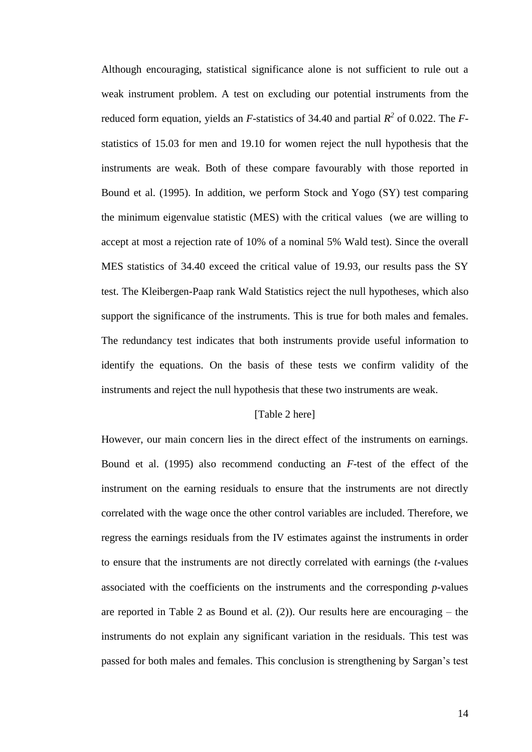Although encouraging, statistical significance alone is not sufficient to rule out a weak instrument problem. A test on excluding our potential instruments from the reduced form equation, yields an *F*-statistics of 34.40 and partial  $R^2$  of 0.022. The *F*statistics of 15.03 for men and 19.10 for women reject the null hypothesis that the instruments are weak. Both of these compare favourably with those reported in Bound et al. (1995). In addition, we perform Stock and Yogo (SY) test comparing the minimum eigenvalue statistic (MES) with the critical values (we are willing to accept at most a rejection rate of 10% of a nominal 5% Wald test). Since the overall MES statistics of 34.40 exceed the critical value of 19.93, our results pass the SY test. The Kleibergen-Paap rank Wald Statistics reject the null hypotheses, which also support the significance of the instruments. This is true for both males and females. The redundancy test indicates that both instruments provide useful information to identify the equations. On the basis of these tests we confirm validity of the instruments and reject the null hypothesis that these two instruments are weak.

#### [Table 2 here]

However, our main concern lies in the direct effect of the instruments on earnings. Bound et al. (1995) also recommend conducting an *F-*test of the effect of the instrument on the earning residuals to ensure that the instruments are not directly correlated with the wage once the other control variables are included. Therefore, we regress the earnings residuals from the IV estimates against the instruments in order to ensure that the instruments are not directly correlated with earnings (the *t*-values associated with the coefficients on the instruments and the corresponding *p*-values are reported in Table 2 as Bound et al.  $(2)$ ). Our results here are encouraging – the instruments do not explain any significant variation in the residuals. This test was passed for both males and females. This conclusion is strengthening by Sargan's test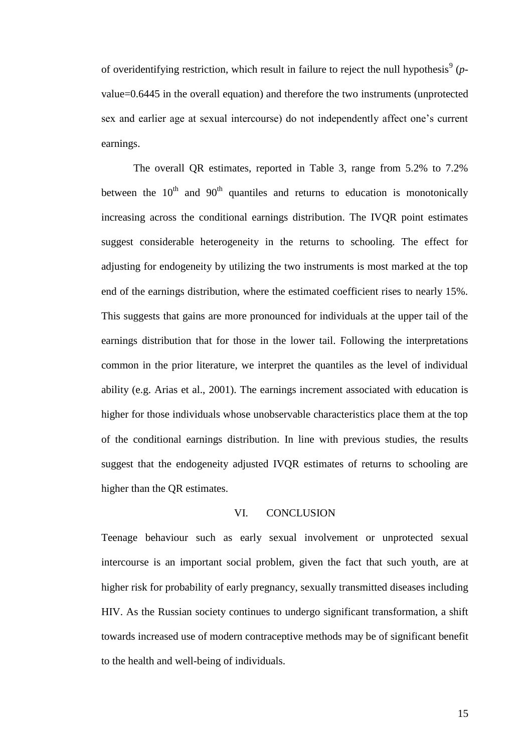of overidentifying restriction, which result in failure to reject the null hypothesis<sup>9</sup> (pvalue=0.6445 in the overall equation) and therefore the two instruments (unprotected sex and earlier age at sexual intercourse) do not independently affect one's current earnings.

The overall QR estimates, reported in Table 3, range from 5.2% to 7.2% between the  $10<sup>th</sup>$  and  $90<sup>th</sup>$  quantiles and returns to education is monotonically increasing across the conditional earnings distribution. The IVQR point estimates suggest considerable heterogeneity in the returns to schooling. The effect for adjusting for endogeneity by utilizing the two instruments is most marked at the top end of the earnings distribution, where the estimated coefficient rises to nearly 15%. This suggests that gains are more pronounced for individuals at the upper tail of the earnings distribution that for those in the lower tail. Following the interpretations common in the prior literature, we interpret the quantiles as the level of individual ability (e.g. Arias et al., 2001). The earnings increment associated with education is higher for those individuals whose unobservable characteristics place them at the top of the conditional earnings distribution. In line with previous studies, the results suggest that the endogeneity adjusted IVQR estimates of returns to schooling are higher than the QR estimates.

## VI. CONCLUSION

Teenage behaviour such as early sexual involvement or unprotected sexual intercourse is an important social problem, given the fact that such youth, are at higher risk for probability of early pregnancy, sexually transmitted diseases including HIV. As the Russian society continues to undergo significant transformation, a shift towards increased use of modern contraceptive methods may be of significant benefit to the health and well-being of individuals.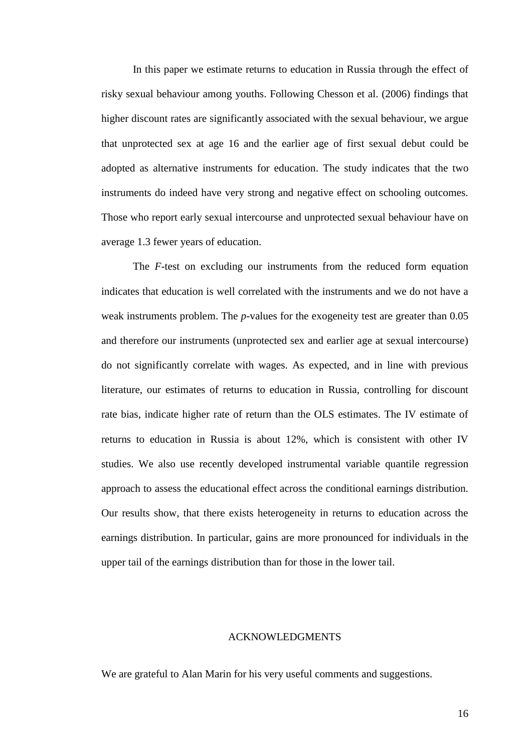In this paper we estimate returns to education in Russia through the effect of risky sexual behaviour among youths. Following Chesson et al. (2006) findings that higher discount rates are significantly associated with the sexual behaviour, we argue that unprotected sex at age 16 and the earlier age of first sexual debut could be adopted as alternative instruments for education. The study indicates that the two instruments do indeed have very strong and negative effect on schooling outcomes. Those who report early sexual intercourse and unprotected sexual behaviour have on average 1.3 fewer years of education.

The *F-*test on excluding our instruments from the reduced form equation indicates that education is well correlated with the instruments and we do not have a weak instruments problem. The *p-*values for the exogeneity test are greater than 0.05 and therefore our instruments (unprotected sex and earlier age at sexual intercourse) do not significantly correlate with wages. As expected, and in line with previous literature, our estimates of returns to education in Russia, controlling for discount rate bias, indicate higher rate of return than the OLS estimates. The IV estimate of returns to education in Russia is about 12%, which is consistent with other IV studies. We also use recently developed instrumental variable quantile regression approach to assess the educational effect across the conditional earnings distribution. Our results show, that there exists heterogeneity in returns to education across the earnings distribution. In particular, gains are more pronounced for individuals in the upper tail of the earnings distribution than for those in the lower tail.

#### ACKNOWLEDGMENTS

We are grateful to Alan Marin for his very useful comments and suggestions.

16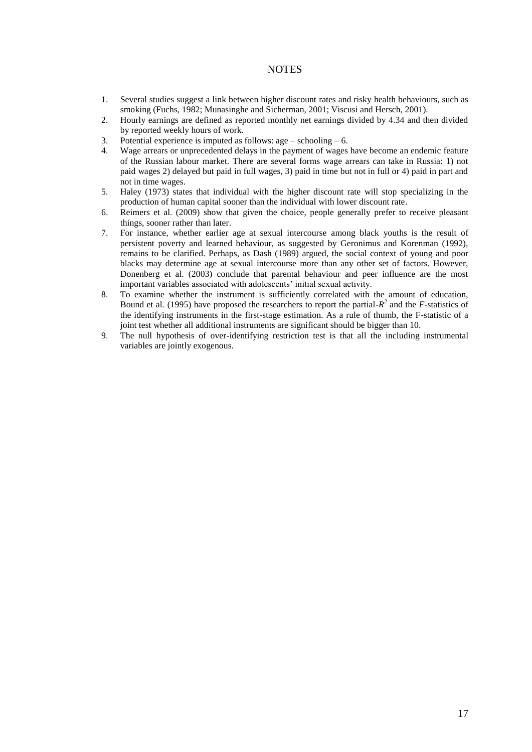#### **NOTES**

- 1. Several studies suggest a link between higher discount rates and risky health behaviours, such as smoking (Fuchs, 1982; Munasinghe and Sicherman, 2001; Viscusi and Hersch, 2001).
- 2. Hourly earnings are defined as reported monthly net earnings divided by 4.34 and then divided by reported weekly hours of work.
- 3. Potential experience is imputed as follows: age schooling 6.
- 4. Wage arrears or unprecedented delays in the payment of wages have become an endemic feature of the Russian labour market. There are several forms wage arrears can take in Russia: 1) not paid wages 2) delayed but paid in full wages, 3) paid in time but not in full or 4) paid in part and not in time wages.
- 5. Haley (1973) states that individual with the higher discount rate will stop specializing in the production of human capital sooner than the individual with lower discount rate.
- 6. Reimers et al. (2009) show that given the choice, people generally prefer to receive pleasant things, sooner rather than later.
- 7. For instance, whether earlier age at sexual intercourse among black youths is the result of persistent poverty and learned behaviour, as suggested by Geronimus and Korenman (1992), remains to be clarified. Perhaps, as Dash (1989) argued, the social context of young and poor blacks may determine age at sexual intercourse more than any other set of factors. However, Donenberg et al. (2003) conclude that parental behaviour and peer influence are the most important variables associated with adolescents' initial sexual activity.
- 8. To examine whether the instrument is sufficiently correlated with the amount of education, Bound et al. (1995) have proposed the researchers to report the partial- $R^2$  and the *F*-statistics of the identifying instruments in the first-stage estimation. As a rule of thumb, the F-statistic of a joint test whether all additional instruments are significant should be bigger than 10.
- 9. The null hypothesis of over-identifying restriction test is that all the including instrumental variables are jointly exogenous.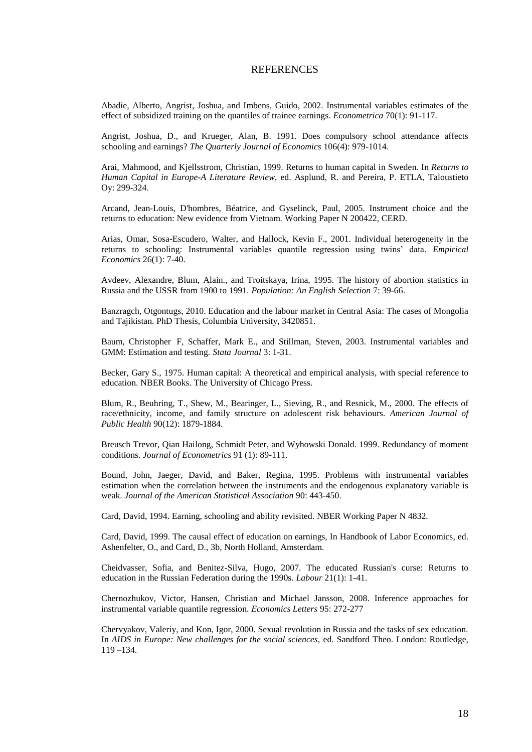#### REFERENCES

Abadie, Alberto, Angrist, Joshua, and Imbens, Guido, 2002. Instrumental variables estimates of the effect of subsidized training on the quantiles of trainee earnings. *Econometrica* 70(1): 91-117.

Angrist, Joshua, D., and Krueger, Alan, B. 1991. Does compulsory school attendance affects schooling and earnings? *The Quarterly Journal of Economics* 106(4): 979-1014.

Arai, Mahmood, and Kjellsstrom, Christian, 1999. Returns to human capital in Sweden. In *Returns to Human Capital in Europe-A Literature Review*, ed. Asplund, R. and Pereira, P. ETLA, Taloustieto Oy: 299-324.

Arcand, Jean-Louis, D'hombres, Béatrice, and Gyselinck, Paul, 2005. Instrument choice and the returns to education: New evidence from Vietnam*.* Working Paper N 200422, CERD*.*

Arias, Omar, Sosa-Escudero, Walter, and Hallock, Kevin F., 2001. Individual heterogeneity in the returns to schooling: Instrumental variables quantile regression using twins' data. *Empirical Economics* 26(1): 7-40.

Avdeev, Alexandre, Blum, Alain., and Troitskaya, Irina, 1995. The history of abortion statistics in Russia and the USSR from 1900 to 1991. *Population: An English Selection* 7: 39-66.

Banzragch, Otgontugs, 2010. Education and the labour market in Central Asia: The cases of Mongolia and Tajikistan. PhD Thesis, Columbia University, 3420851.

Baum, Christopher F, Schaffer, Mark E., and Stillman, Steven, 2003. Instrumental variables and GMM: Estimation and testing. *Stata Journal* 3: 1-31.

Becker, Gary S., 1975. Human capital: A theoretical and empirical analysis, with special reference to education. NBER Books. The University of Chicago Press.

Blum, R., Beuhring, T., Shew, M., Bearinger, L., Sieving, R., and Resnick, M., 2000. The effects of race/ethnicity, income, and family structure on adolescent risk behaviours. *American Journal of Public Health* 90(12): 1879-1884.

Breusch Trevor, Qian Hailong, Schmidt Peter, and Wyhowski Donald. 1999. Redundancy of moment conditions. *Journal of Econometrics* 91 (1): 89-111.

Bound, John, Jaeger, David, and Baker, Regina, 1995. Problems with instrumental variables estimation when the correlation between the instruments and the endogenous explanatory variable is weak. *Journal of the American Statistical Association* 90: 443-450.

Card, David, 1994. Earning, schooling and ability revisited. NBER Working Paper N 4832.

Card, David, 1999. The causal effect of education on earnings, In Handbook of Labor Economics, ed. Ashenfelter, O., and Card, D., 3b, North Holland, Amsterdam.

Cheidvasser, Sofia, and Benitez-Silva, Hugo, 2007. The educated Russian's curse: Returns to education in the Russian Federation during the 1990s. *Labour* 21(1): 1-41.

Chernozhukov, Victor, Hansen, Christian and Michael Jansson, 2008. Inference approaches for instrumental variable quantile regression. *Economics Letters* 95: 272-277

Chervyakov, Valeriy, and Kon, Igor, 2000. Sexual revolution in Russia and the tasks of sex education. In *AIDS in Europe: New challenges for the social sciences*, ed. Sandford Theo. London: Routledge, 119 –134.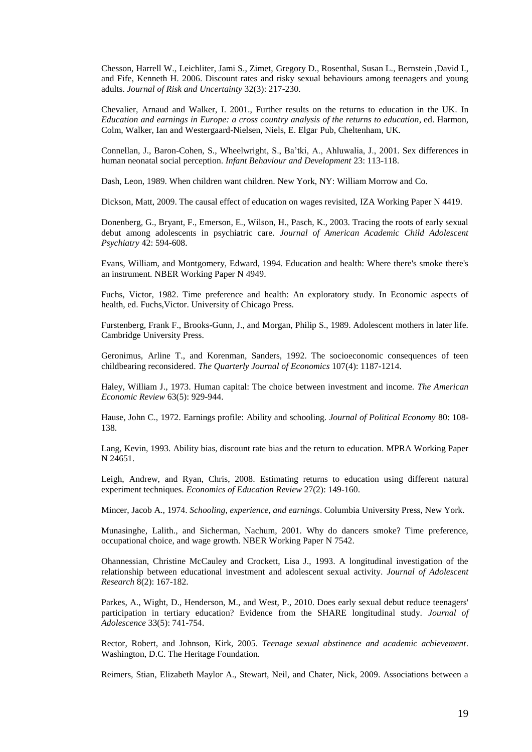[Chesson,](http://www.springerlink.com/content/?Author=Harrell+W.+Chesson) Harrell W[., Leichliter,](http://www.springerlink.com/content/?Author=Jami+S.+Leichliter) Jami S., [Zimet,](http://www.springerlink.com/content/?Author=Gregory+D.+Zimet) Gregory D., Rosenthal, [Susan L.,](http://www.springerlink.com/content/?Author=Susan+L.+Rosenthal) [Bernstein](http://www.springerlink.com/content/?Author=Susan+L.+Rosenthal) ,David I., and Fife, [Kenneth H. 2](http://www.springerlink.com/content/?Author=Kenneth+H.+Fife)006. Discount rates and risky sexual behaviours among teenagers and young adults. *Journal of Risk and Uncertainty* 32(3): 217-230.

Chevalier, Arnaud and Walker, I. 2001., Further results on the returns to education in the UK*.* In *Education and earnings in Europe: a cross country analysis of the returns to education*, ed. Harmon, Colm, Walker, Ian and Westergaard-Nielsen, Niels, E. Elgar Pub, Cheltenham, UK.

Connellan, J., Baron-Cohen, S., Wheelwright, S., Ba'tki, A., Ahluwalia, J., 2001. Sex differences in human neonatal social perception. *Infant Behaviour and Development* 23: 113-118.

Dash, Leon, 1989. When children want children. New York, NY: William Morrow and Co.

Dickson, Matt, 2009. The causal effect of education on wages revisited, IZA Working Paper N 4419.

Donenberg, G., Bryant, F., Emerson, E., Wilson, H., Pasch, K., 2003. Tracing the roots of early sexual debut among adolescents in psychiatric care. *Journal of American Academic Child Adolescent Psychiatry* 42: 594-608.

Evans, William, and Montgomery, Edward, 1994. Education and health: Where there's smoke there's an instrument. NBER Working Paper N 4949.

Fuchs, Victor, 1982. Time preference and health: An exploratory study. In Economic aspects of health, ed. Fuchs,Victor. University of Chicago Press.

Furstenberg, Frank F., Brooks-Gunn, J., and Morgan, Philip S., 1989. Adolescent mothers in later life. Cambridge University Press.

Geronimus, Arline T., and Korenman, Sanders, 1992. The socioeconomic consequences of teen childbearing reconsidered. *The Quarterly Journal of Economics* 107(4): 1187-1214.

Haley, William J., 1973. Human capital: The choice between investment and income. *The American Economic Review* 63(5): 929-944.

Hause, John C., 1972. Earnings profile: Ability and schooling. *Journal of Political Economy* 80: 108- 138.

Lang, Kevin, 1993. Ability bias, discount rate bias and the return to education. MPRA Working Paper N 24651.

Leigh, Andrew, and Ryan, Chris, 2008. Estimating returns to education using different natural experiment techniques. *Economics of Education Review* 27(2): 149-160.

Mincer, Jacob A., 1974. *Schooling, experience, and earnings*. Columbia University Press, New York.

Munasinghe, Lalith., and Sicherman, Nachum, 2001. Why do dancers smoke? Time preference, occupational choice, and wage growth. NBER Working Paper N 7542.

Ohannessian, Christine McCauley and Crockett, Lisa J., 1993. A longitudinal investigation of the relationship between educational investment and adolescent sexual activity. *Journal of Adolescent Research* 8(2): 167-182.

Parkes, A., Wight, D., Henderson, M., and West, P., 2010. Does early sexual debut reduce teenagers' participation in tertiary education? Evidence from the SHARE longitudinal study. *Journal of Adolescence* 33(5): 741-754.

Rector, Robert, and Johnson, Kirk, 2005. *Teenage sexual abstinence and academic achievement*. Washington, D.C. The Heritage Foundation.

Reimers, Stian, Elizabeth Maylor A., Stewart, Neil, and Chater, Nick, 2009. Associations between a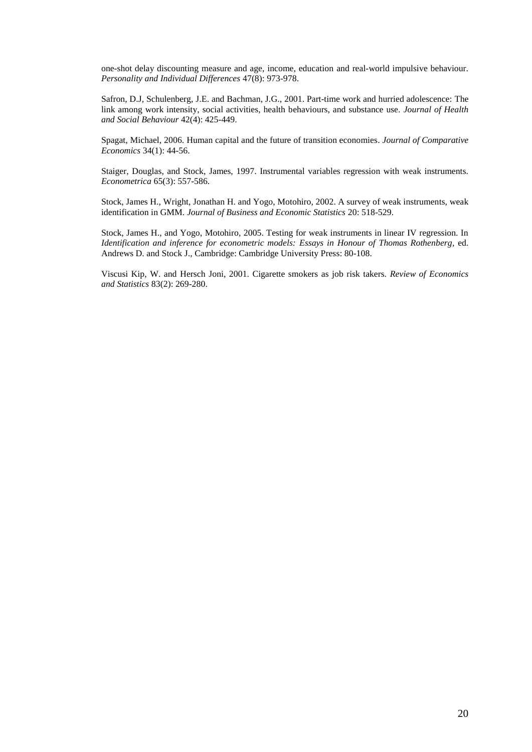one-shot delay discounting measure and age, income, education and real-world impulsive behaviour. *Personality and Individual Differences* 47(8): 973-978.

Safron, D.J, Schulenberg, J.E. and Bachman, J.G., 2001. Part-time work and hurried adolescence: The link among work intensity, social activities, health behaviours, and substance use. *Journal of Health and Social Behaviour* 42(4): 425-449.

Spagat, Michael, 2006. Human capital and the future of transition economies. *Journal of Comparative Economics* 34(1): 44-56.

Staiger, Douglas, and Stock, James, 1997. Instrumental variables regression with weak instruments. *Econometrica* 65(3): 557-586.

Stock, James H., Wright, Jonathan H. and Yogo, Motohiro, 2002. A survey of weak instruments, weak identification in GMM. *Journal of Business and Economic Statistics* 20: 518-529.

Stock, James H., and Yogo, Motohiro, 2005. Testing for weak instruments in linear IV regression. In *Identification and inference for econometric models: Essays in Honour of Thomas Rothenberg*, ed. Andrews D. and Stock J., Cambridge: Cambridge University Press: 80-108.

Viscusi Kip, W. and Hersch Joni, 2001. Cigarette smokers as job risk takers. *Review of Economics and Statistics* 83(2): 269-280.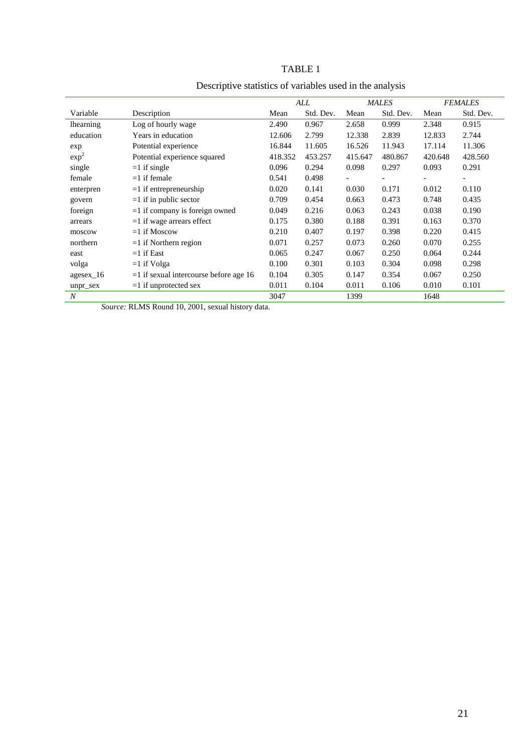|                  |                                           | ALL     |           | <b>MALES</b>             |                          | <b>FEMALES</b> |                          |
|------------------|-------------------------------------------|---------|-----------|--------------------------|--------------------------|----------------|--------------------------|
| Variable         | Description                               | Mean    | Std. Dev. | Mean                     | Std. Dev.                | Mean           | Std. Dev.                |
| <i>lhearning</i> | Log of hourly wage                        | 2.490   | 0.967     | 2.658                    | 0.999                    | 2.348          | 0.915                    |
| education        | Years in education                        | 12.606  | 2.799     | 12.338                   | 2.839                    | 12.833         | 2.744                    |
| exp              | Potential experience                      | 16.844  | 11.605    | 16.526                   | 11.943                   | 17.114         | 11.306                   |
| exp <sup>2</sup> | Potential experience squared              | 418.352 | 453.257   | 415.647                  | 480.867                  | 420.648        | 428.560                  |
| single           | $=1$ if single                            | 0.096   | 0.294     | 0.098                    | 0.297                    | 0.093          | 0.291                    |
| female           | $=1$ if female                            | 0.541   | 0.498     | $\overline{\phantom{a}}$ | $\overline{\phantom{a}}$ | -              | $\overline{\phantom{a}}$ |
| enterpren        | $=1$ if entrepreneurship                  | 0.020   | 0.141     | 0.030                    | 0.171                    | 0.012          | 0.110                    |
| govern           | $=1$ if in public sector                  | 0.709   | 0.454     | 0.663                    | 0.473                    | 0.748          | 0.435                    |
| foreign          | $=1$ if company is foreign owned          | 0.049   | 0.216     | 0.063                    | 0.243                    | 0.038          | 0.190                    |
| arrears          | $=1$ if wage arrears effect               | 0.175   | 0.380     | 0.188                    | 0.391                    | 0.163          | 0.370                    |
| moscow           | $=1$ if Moscow                            | 0.210   | 0.407     | 0.197                    | 0.398                    | 0.220          | 0.415                    |
| northern         | $=1$ if Northern region                   | 0.071   | 0.257     | 0.073                    | 0.260                    | 0.070          | 0.255                    |
| east             | $=1$ if East                              | 0.065   | 0.247     | 0.067                    | 0.250                    | 0.064          | 0.244                    |
| volga            | $=1$ if Volga                             | 0.100   | 0.301     | 0.103                    | 0.304                    | 0.098          | 0.298                    |
| agesex_16        | $=$ 1 if sexual intercourse before age 16 | 0.104   | 0.305     | 0.147                    | 0.354                    | 0.067          | 0.250                    |
| unpr_sex         | $=1$ if unprotected sex                   | 0.011   | 0.104     | 0.011                    | 0.106                    | 0.010          | 0.101                    |
| $\boldsymbol{N}$ |                                           | 3047    |           | 1399                     |                          | 1648           |                          |

TABLE 1 Descriptive statistics of variables used in the analysis

*Source:* RLMS Round 10, 2001, sexual history data.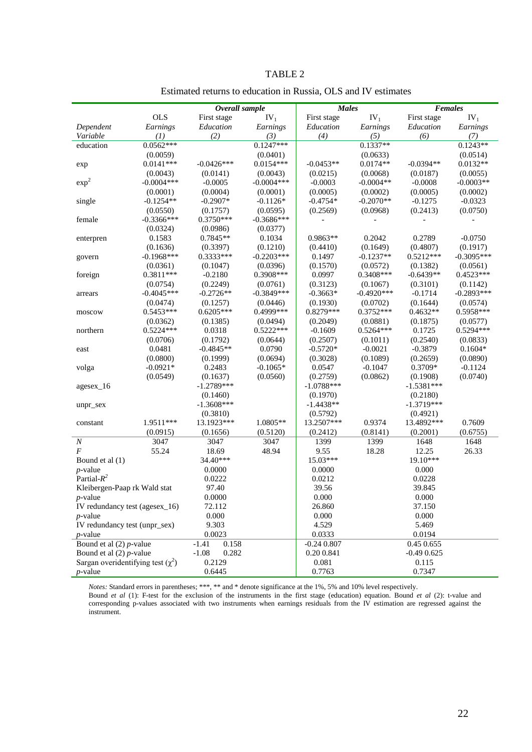| в<br>\DI. |  |
|-----------|--|
|-----------|--|

|                                        | <b>OLS</b>              | Overall sample<br>$IV_1$<br>First stage |                         | <b>Males</b><br>First stage<br>$IV_1$ |                   | Females                  |                        |
|----------------------------------------|-------------------------|-----------------------------------------|-------------------------|---------------------------------------|-------------------|--------------------------|------------------------|
|                                        |                         | Education                               |                         | Education                             |                   | First stage<br>Education | $IV_1$                 |
| Dependent                              | Earnings                | (2)                                     | Earnings                |                                       | Earnings          | (6)                      | Earnings               |
| Variable                               | (I)<br>$0.0562***$      |                                         | (3)<br>$0.1247***$      | (4)                                   | (5)<br>$0.1337**$ |                          | (7)<br>$0.1243**$      |
| education                              |                         |                                         |                         |                                       |                   |                          |                        |
|                                        | (0.0059)<br>$0.0141***$ |                                         | (0.0401)<br>$0.0154***$ |                                       | (0.0633)          |                          | (0.0514)<br>$0.0132**$ |
| exp                                    |                         | $-0.0426***$                            |                         | $-0.0453**$                           | $0.0174**$        | $-0.0394**$              |                        |
|                                        | (0.0043)                | (0.0141)                                | (0.0043)                | (0.0215)                              | (0.0068)          | (0.0187)                 | (0.0055)               |
| exp <sup>2</sup>                       | $-0.0004***$            | $-0.0005$                               | $-0.0004$ ***           | $-0.0003$                             | $-0.0004**$       | $-0.0008$                | $-0.0003**$            |
|                                        | (0.0001)                | (0.0004)                                | (0.0001)                | (0.0005)                              | (0.0002)          | (0.0005)                 | (0.0002)               |
| single                                 | $-0.1254**$             | $-0.2907*$                              | $-0.1126*$              | $-0.4754*$                            | $-0.2070**$       | $-0.1275$                | $-0.0323$              |
|                                        | (0.0550)                | (0.1757)                                | (0.0595)                | (0.2569)                              | (0.0968)          | (0.2413)                 | (0.0750)               |
| female                                 | $-0.3366$ ***           | $0.3750***$                             | $-0.3686***$            |                                       |                   | $\blacksquare$           |                        |
|                                        | (0.0324)                | (0.0986)                                | (0.0377)                |                                       |                   |                          |                        |
| enterpren                              | 0.1583                  | $0.7845**$                              | 0.1034                  | $0.9863**$                            | 0.2042            | 0.2789                   | $-0.0750$              |
|                                        | (0.1636)                | (0.3397)                                | (0.1210)                | (0.4410)                              | (0.1649)          | (0.4807)                 | (0.1917)               |
| govern                                 | $-0.1968***$            | 0.3333***                               | $-0.2203***$            | 0.1497                                | $-0.1237**$       | $0.5212***$              | $-0.3095***$           |
|                                        | (0.0361)                | (0.1047)                                | (0.0396)                | (0.1570)                              | (0.0572)          | (0.1382)                 | (0.0561)               |
| foreign                                | 0.3811***               | $-0.2180$                               | 0.3908***               | 0.0997                                | $0.3408***$       | $-0.6439**$              | 0.4523***              |
|                                        | (0.0754)                | (0.2249)                                | (0.0761)                | (0.3123)                              | (0.1067)          | (0.3101)                 | (0.1142)               |
| arrears                                | $-0.4045***$            | $-0.2726**$                             | $-0.3849***$            | $-0.3663*$                            | $-0.4920***$      | $-0.1714$                | $-0.2893***$           |
|                                        | (0.0474)                | (0.1257)                                | (0.0446)                | (0.1930)                              | (0.0702)          | (0.1644)                 | (0.0574)               |
| moscow                                 | $0.5453***$             | $0.6205***$                             | 0.4999***               | $0.8279***$                           | $0.3752***$       | $0.4632**$               | 0.5958***              |
|                                        | (0.0362)                | (0.1385)                                | (0.0494)                | (0.2049)                              | (0.0881)          | (0.1875)                 | (0.0577)               |
| northern                               | 0.5224 ***              | 0.0318                                  | $0.5222***$             | $-0.1609$                             | $0.5264***$       | 0.1725                   | 0.5294 ***             |
|                                        | (0.0706)                | (0.1792)                                | (0.0644)                | (0.2507)                              | (0.1011)          | (0.2540)                 | (0.0833)               |
| east                                   | 0.0481                  | $-0.4845**$                             | 0.0790                  | $-0.5720*$                            | $-0.0021$         | $-0.3879$                | $0.1604*$              |
|                                        | (0.0800)                | (0.1999)                                | (0.0694)                | (0.3028)                              | (0.1089)          | (0.2659)                 | (0.0890)               |
| volga                                  | $-0.0921*$              | 0.2483                                  | $-0.1065*$              | 0.0547                                | $-0.1047$         | 0.3709*                  | $-0.1124$              |
|                                        | (0.0549)                | (0.1637)                                | (0.0560)                | (0.2759)                              | (0.0862)          | (0.1908)                 | (0.0740)               |
| agesex_16                              |                         | $-1.2789***$                            |                         | $-1.0788***$                          |                   | $-1.5381***$             |                        |
|                                        |                         | (0.1460)                                |                         | (0.1970)                              |                   | (0.2180)                 |                        |
| unpr_sex                               |                         | $-1.3608***$                            |                         | $-1.4438**$                           |                   | $-1.3719***$             |                        |
|                                        |                         | (0.3810)                                |                         | (0.5792)                              |                   | (0.4921)                 |                        |
| constant                               | 1.9511***               | 13.1923***                              | 1.0805**                | 13.2507***                            | 0.9374            | 13.4892***               | 0.7609                 |
|                                        | (0.0915)                | (0.1656)                                | (0.5120)                | (0.2412)                              | (0.8141)          | (0.2001)                 | (0.6755)               |
| $\cal N$                               | 3047                    | 3047                                    | 3047                    | 1399                                  | 1399              | 1648                     | 1648                   |
| $\overline{F}$                         | 55.24                   | 18.69                                   | 48.94                   | 9.55                                  | 18.28             | 12.25                    | 26.33                  |
| Bound et al (1)                        |                         | 34.40***                                |                         | 15.03***                              |                   | 19.10***                 |                        |
| $p$ -value                             |                         | 0.0000                                  |                         | 0.0000                                |                   | 0.000                    |                        |
| Partial- $R^2$                         |                         | 0.0222                                  |                         | 0.0212                                |                   | 0.0228                   |                        |
| Kleibergen-Paap rk Wald stat           |                         | 97.40                                   |                         | 39.56                                 |                   | 39.845                   |                        |
| $p$ -value                             |                         | 0.0000                                  |                         | 0.000                                 |                   | 0.000                    |                        |
| IV redundancy test (agesex 16)         |                         | 72.112                                  |                         | 26.860                                |                   | 37.150                   |                        |
| $p$ -value                             |                         | 0.000                                   |                         | 0.000                                 |                   | 0.000                    |                        |
| IV redundancy test (unpr_sex)          |                         | 9.303                                   |                         | 4.529                                 |                   | 5.469                    |                        |
| $p$ -value                             |                         | 0.0023                                  |                         | 0.0333                                |                   | 0.0194                   |                        |
| Bound et al $(2)$ <i>p</i> -value      |                         | $-1.41$<br>0.158                        |                         | $-0.24$ $0.807$                       |                   | 0.45 0.655               |                        |
| Bound et al $(2)$ <i>p</i> -value      |                         | $-1.08$<br>0.282                        |                         | 0.20 0.841                            |                   | $-0.49$ 0.625            |                        |
| Sargan overidentifying test $(\chi^2)$ |                         | 0.2129                                  |                         | 0.081                                 |                   | 0.115                    |                        |
| $p$ -value                             |                         | 0.6445                                  |                         | 0.7763                                |                   | 0.7347                   |                        |

Estimated returns to education in Russia, OLS and IV estimates

*Notes:* Standard errors in parentheses; \*\*\*, \*\* and \* denote significance at the 1%, 5% and 10% level respectively.

Bound *et al* (1): F-test for the exclusion of the instruments in the first stage (education) equation. Bound *et al* (2): t-value and corresponding p-values associated with two instruments when earnings residuals from the IV estimation are regressed against the instrument.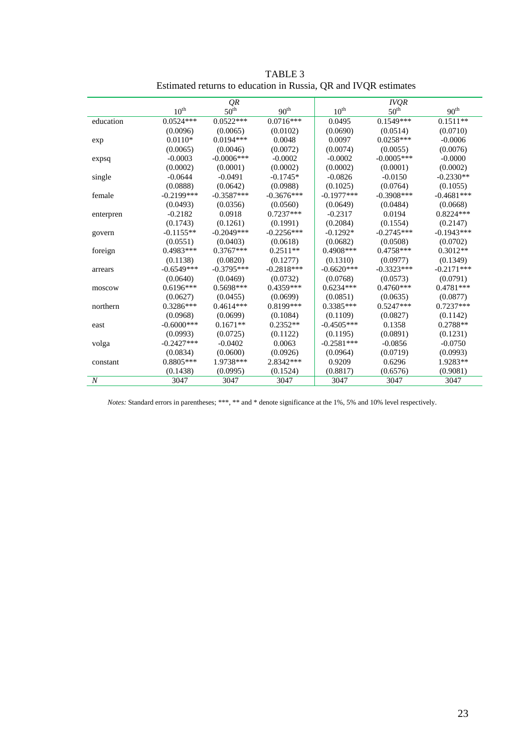| $50^{\text{th}}$<br>$50^{\text{th}}$<br>$10^{\text{th}}$<br>90 <sup>th</sup><br>$10^{\text{th}}$<br>90 <sup>th</sup><br>$0.1549***$<br>$0.1511**$<br>$0.0524***$<br>$0.0522***$<br>$0.0716***$<br>0.0495<br>education<br>(0.0514)<br>(0.0096)<br>(0.0065)<br>(0.0102)<br>(0.0690)<br>(0.0710)<br>$0.0110*$<br>$0.0194***$<br>0.0048<br>0.0097<br>$0.0258***$<br>$-0.0006$<br>exp<br>(0.0065)<br>(0.0046)<br>(0.0072)<br>(0.0074)<br>(0.0055)<br>(0.0076)<br>$-0.0006$ ***<br>$-0.0005***$<br>$-0.0003$<br>$-0.0002$<br>$-0.0002$<br>$-0.0000$<br>expsq<br>(0.0002)<br>(0.0002)<br>(0.0002)<br>(0.0002)<br>(0.0001)<br>(0.0001)<br>$-0.2330**$<br>$-0.0644$<br>$-0.0491$<br>$-0.1745*$<br>$-0.0826$<br>$-0.0150$<br>single<br>(0.0888)<br>(0.0642)<br>(0.0988)<br>(0.1025)<br>(0.0764)<br>(0.1055)<br>$-0.2199***$<br>$-0.3587***$<br>$-0.3676***$<br>$-0.1977***$<br>$-0.3908$ ***<br>$-0.4681***$<br>female<br>(0.0484)<br>(0.0493)<br>(0.0356)<br>(0.0560)<br>(0.0649)<br>(0.0668)<br>0.0918<br>$0.7237***$<br>$0.8224***$<br>$-0.2182$<br>$-0.2317$<br>0.0194<br>enterpren<br>(0.1743)<br>(0.1261)<br>(0.2084)<br>(0.1554)<br>(0.1991)<br>(0.2147)<br>$-0.1155**$<br>$-0.2049***$<br>$-0.2256***$<br>$-0.2745***$<br>$-0.1943***$<br>$-0.1292*$<br>govern<br>(0.0403)<br>(0.0682)<br>(0.0508)<br>(0.0551)<br>(0.0618)<br>(0.0702)<br>$0.4983***$<br>$0.3767***$<br>$0.2511**$<br>$0.4758***$<br>$0.3012**$<br>$0.4908***$<br>foreign<br>(0.0820)<br>(0.1277)<br>(0.1310)<br>(0.0977)<br>(0.1349)<br>(0.1138)<br>$-0.6549***$<br>$-0.3795***$<br>$-0.2818***$<br>$-0.2171***$<br>$-0.6620***$<br>$-0.3323***$<br>arrears<br>(0.0732)<br>(0.0573)<br>(0.0791)<br>(0.0640)<br>(0.0469)<br>(0.0768)<br>$0.6196***$<br>$0.5698***$<br>$0.4359***$<br>$0.6234***$<br>$0.4760***$<br>$0.4781***$<br>moscow<br>(0.0627)<br>(0.0455)<br>(0.0699)<br>(0.0851)<br>(0.0635)<br>(0.0877)<br>$0.3286***$<br>$0.4614***$<br>0.8199***<br>$0.3385***$<br>$0.5247***$<br>$0.7237***$<br>northern<br>(0.0699)<br>(0.0827)<br>(0.1142)<br>(0.0968)<br>(0.1084)<br>(0.1109)<br>$-0.6000$ ***<br>$0.1671**$<br>$0.2352**$<br>$-0.4505***$<br>$0.2788**$<br>0.1358<br>east<br>(0.0891)<br>(0.0725)<br>(0.1122)<br>(0.1195)<br>(0.1231)<br>(0.0993)<br>$-0.2427***$<br>$-0.0402$<br>0.0063<br>$-0.2581***$<br>$-0.0856$<br>$-0.0750$<br>volga<br>(0.0926)<br>(0.0964)<br>(0.0719)<br>(0.0993)<br>(0.0834)<br>(0.0600)<br>1.9283**<br>$0.8805***$<br>1.9738***<br>2.8342***<br>0.9209<br>0.6296<br>constant<br>(0.6576)<br>(0.0995)<br>(0.8817)<br>(0.9081)<br>(0.1438)<br>(0.1524) |                  |      |      |      |      |             |      |
|----------------------------------------------------------------------------------------------------------------------------------------------------------------------------------------------------------------------------------------------------------------------------------------------------------------------------------------------------------------------------------------------------------------------------------------------------------------------------------------------------------------------------------------------------------------------------------------------------------------------------------------------------------------------------------------------------------------------------------------------------------------------------------------------------------------------------------------------------------------------------------------------------------------------------------------------------------------------------------------------------------------------------------------------------------------------------------------------------------------------------------------------------------------------------------------------------------------------------------------------------------------------------------------------------------------------------------------------------------------------------------------------------------------------------------------------------------------------------------------------------------------------------------------------------------------------------------------------------------------------------------------------------------------------------------------------------------------------------------------------------------------------------------------------------------------------------------------------------------------------------------------------------------------------------------------------------------------------------------------------------------------------------------------------------------------------------------------------------------------------------------------------------------------------------------------------------------------------------------------------------------------------------------------------------------------------------------------------------------------------------------------------------------------------------------------------------------------------------------------------------------------------------------------------------------------|------------------|------|------|------|------|-------------|------|
|                                                                                                                                                                                                                                                                                                                                                                                                                                                                                                                                                                                                                                                                                                                                                                                                                                                                                                                                                                                                                                                                                                                                                                                                                                                                                                                                                                                                                                                                                                                                                                                                                                                                                                                                                                                                                                                                                                                                                                                                                                                                                                                                                                                                                                                                                                                                                                                                                                                                                                                                                                |                  |      | QR   |      |      | <b>IVQR</b> |      |
|                                                                                                                                                                                                                                                                                                                                                                                                                                                                                                                                                                                                                                                                                                                                                                                                                                                                                                                                                                                                                                                                                                                                                                                                                                                                                                                                                                                                                                                                                                                                                                                                                                                                                                                                                                                                                                                                                                                                                                                                                                                                                                                                                                                                                                                                                                                                                                                                                                                                                                                                                                |                  |      |      |      |      |             |      |
|                                                                                                                                                                                                                                                                                                                                                                                                                                                                                                                                                                                                                                                                                                                                                                                                                                                                                                                                                                                                                                                                                                                                                                                                                                                                                                                                                                                                                                                                                                                                                                                                                                                                                                                                                                                                                                                                                                                                                                                                                                                                                                                                                                                                                                                                                                                                                                                                                                                                                                                                                                |                  |      |      |      |      |             |      |
|                                                                                                                                                                                                                                                                                                                                                                                                                                                                                                                                                                                                                                                                                                                                                                                                                                                                                                                                                                                                                                                                                                                                                                                                                                                                                                                                                                                                                                                                                                                                                                                                                                                                                                                                                                                                                                                                                                                                                                                                                                                                                                                                                                                                                                                                                                                                                                                                                                                                                                                                                                |                  |      |      |      |      |             |      |
|                                                                                                                                                                                                                                                                                                                                                                                                                                                                                                                                                                                                                                                                                                                                                                                                                                                                                                                                                                                                                                                                                                                                                                                                                                                                                                                                                                                                                                                                                                                                                                                                                                                                                                                                                                                                                                                                                                                                                                                                                                                                                                                                                                                                                                                                                                                                                                                                                                                                                                                                                                |                  |      |      |      |      |             |      |
|                                                                                                                                                                                                                                                                                                                                                                                                                                                                                                                                                                                                                                                                                                                                                                                                                                                                                                                                                                                                                                                                                                                                                                                                                                                                                                                                                                                                                                                                                                                                                                                                                                                                                                                                                                                                                                                                                                                                                                                                                                                                                                                                                                                                                                                                                                                                                                                                                                                                                                                                                                |                  |      |      |      |      |             |      |
|                                                                                                                                                                                                                                                                                                                                                                                                                                                                                                                                                                                                                                                                                                                                                                                                                                                                                                                                                                                                                                                                                                                                                                                                                                                                                                                                                                                                                                                                                                                                                                                                                                                                                                                                                                                                                                                                                                                                                                                                                                                                                                                                                                                                                                                                                                                                                                                                                                                                                                                                                                |                  |      |      |      |      |             |      |
|                                                                                                                                                                                                                                                                                                                                                                                                                                                                                                                                                                                                                                                                                                                                                                                                                                                                                                                                                                                                                                                                                                                                                                                                                                                                                                                                                                                                                                                                                                                                                                                                                                                                                                                                                                                                                                                                                                                                                                                                                                                                                                                                                                                                                                                                                                                                                                                                                                                                                                                                                                |                  |      |      |      |      |             |      |
|                                                                                                                                                                                                                                                                                                                                                                                                                                                                                                                                                                                                                                                                                                                                                                                                                                                                                                                                                                                                                                                                                                                                                                                                                                                                                                                                                                                                                                                                                                                                                                                                                                                                                                                                                                                                                                                                                                                                                                                                                                                                                                                                                                                                                                                                                                                                                                                                                                                                                                                                                                |                  |      |      |      |      |             |      |
|                                                                                                                                                                                                                                                                                                                                                                                                                                                                                                                                                                                                                                                                                                                                                                                                                                                                                                                                                                                                                                                                                                                                                                                                                                                                                                                                                                                                                                                                                                                                                                                                                                                                                                                                                                                                                                                                                                                                                                                                                                                                                                                                                                                                                                                                                                                                                                                                                                                                                                                                                                |                  |      |      |      |      |             |      |
|                                                                                                                                                                                                                                                                                                                                                                                                                                                                                                                                                                                                                                                                                                                                                                                                                                                                                                                                                                                                                                                                                                                                                                                                                                                                                                                                                                                                                                                                                                                                                                                                                                                                                                                                                                                                                                                                                                                                                                                                                                                                                                                                                                                                                                                                                                                                                                                                                                                                                                                                                                |                  |      |      |      |      |             |      |
|                                                                                                                                                                                                                                                                                                                                                                                                                                                                                                                                                                                                                                                                                                                                                                                                                                                                                                                                                                                                                                                                                                                                                                                                                                                                                                                                                                                                                                                                                                                                                                                                                                                                                                                                                                                                                                                                                                                                                                                                                                                                                                                                                                                                                                                                                                                                                                                                                                                                                                                                                                |                  |      |      |      |      |             |      |
|                                                                                                                                                                                                                                                                                                                                                                                                                                                                                                                                                                                                                                                                                                                                                                                                                                                                                                                                                                                                                                                                                                                                                                                                                                                                                                                                                                                                                                                                                                                                                                                                                                                                                                                                                                                                                                                                                                                                                                                                                                                                                                                                                                                                                                                                                                                                                                                                                                                                                                                                                                |                  |      |      |      |      |             |      |
|                                                                                                                                                                                                                                                                                                                                                                                                                                                                                                                                                                                                                                                                                                                                                                                                                                                                                                                                                                                                                                                                                                                                                                                                                                                                                                                                                                                                                                                                                                                                                                                                                                                                                                                                                                                                                                                                                                                                                                                                                                                                                                                                                                                                                                                                                                                                                                                                                                                                                                                                                                |                  |      |      |      |      |             |      |
|                                                                                                                                                                                                                                                                                                                                                                                                                                                                                                                                                                                                                                                                                                                                                                                                                                                                                                                                                                                                                                                                                                                                                                                                                                                                                                                                                                                                                                                                                                                                                                                                                                                                                                                                                                                                                                                                                                                                                                                                                                                                                                                                                                                                                                                                                                                                                                                                                                                                                                                                                                |                  |      |      |      |      |             |      |
|                                                                                                                                                                                                                                                                                                                                                                                                                                                                                                                                                                                                                                                                                                                                                                                                                                                                                                                                                                                                                                                                                                                                                                                                                                                                                                                                                                                                                                                                                                                                                                                                                                                                                                                                                                                                                                                                                                                                                                                                                                                                                                                                                                                                                                                                                                                                                                                                                                                                                                                                                                |                  |      |      |      |      |             |      |
|                                                                                                                                                                                                                                                                                                                                                                                                                                                                                                                                                                                                                                                                                                                                                                                                                                                                                                                                                                                                                                                                                                                                                                                                                                                                                                                                                                                                                                                                                                                                                                                                                                                                                                                                                                                                                                                                                                                                                                                                                                                                                                                                                                                                                                                                                                                                                                                                                                                                                                                                                                |                  |      |      |      |      |             |      |
|                                                                                                                                                                                                                                                                                                                                                                                                                                                                                                                                                                                                                                                                                                                                                                                                                                                                                                                                                                                                                                                                                                                                                                                                                                                                                                                                                                                                                                                                                                                                                                                                                                                                                                                                                                                                                                                                                                                                                                                                                                                                                                                                                                                                                                                                                                                                                                                                                                                                                                                                                                |                  |      |      |      |      |             |      |
|                                                                                                                                                                                                                                                                                                                                                                                                                                                                                                                                                                                                                                                                                                                                                                                                                                                                                                                                                                                                                                                                                                                                                                                                                                                                                                                                                                                                                                                                                                                                                                                                                                                                                                                                                                                                                                                                                                                                                                                                                                                                                                                                                                                                                                                                                                                                                                                                                                                                                                                                                                |                  |      |      |      |      |             |      |
|                                                                                                                                                                                                                                                                                                                                                                                                                                                                                                                                                                                                                                                                                                                                                                                                                                                                                                                                                                                                                                                                                                                                                                                                                                                                                                                                                                                                                                                                                                                                                                                                                                                                                                                                                                                                                                                                                                                                                                                                                                                                                                                                                                                                                                                                                                                                                                                                                                                                                                                                                                |                  |      |      |      |      |             |      |
|                                                                                                                                                                                                                                                                                                                                                                                                                                                                                                                                                                                                                                                                                                                                                                                                                                                                                                                                                                                                                                                                                                                                                                                                                                                                                                                                                                                                                                                                                                                                                                                                                                                                                                                                                                                                                                                                                                                                                                                                                                                                                                                                                                                                                                                                                                                                                                                                                                                                                                                                                                |                  |      |      |      |      |             |      |
|                                                                                                                                                                                                                                                                                                                                                                                                                                                                                                                                                                                                                                                                                                                                                                                                                                                                                                                                                                                                                                                                                                                                                                                                                                                                                                                                                                                                                                                                                                                                                                                                                                                                                                                                                                                                                                                                                                                                                                                                                                                                                                                                                                                                                                                                                                                                                                                                                                                                                                                                                                |                  |      |      |      |      |             |      |
|                                                                                                                                                                                                                                                                                                                                                                                                                                                                                                                                                                                                                                                                                                                                                                                                                                                                                                                                                                                                                                                                                                                                                                                                                                                                                                                                                                                                                                                                                                                                                                                                                                                                                                                                                                                                                                                                                                                                                                                                                                                                                                                                                                                                                                                                                                                                                                                                                                                                                                                                                                |                  |      |      |      |      |             |      |
|                                                                                                                                                                                                                                                                                                                                                                                                                                                                                                                                                                                                                                                                                                                                                                                                                                                                                                                                                                                                                                                                                                                                                                                                                                                                                                                                                                                                                                                                                                                                                                                                                                                                                                                                                                                                                                                                                                                                                                                                                                                                                                                                                                                                                                                                                                                                                                                                                                                                                                                                                                |                  |      |      |      |      |             |      |
|                                                                                                                                                                                                                                                                                                                                                                                                                                                                                                                                                                                                                                                                                                                                                                                                                                                                                                                                                                                                                                                                                                                                                                                                                                                                                                                                                                                                                                                                                                                                                                                                                                                                                                                                                                                                                                                                                                                                                                                                                                                                                                                                                                                                                                                                                                                                                                                                                                                                                                                                                                |                  |      |      |      |      |             |      |
|                                                                                                                                                                                                                                                                                                                                                                                                                                                                                                                                                                                                                                                                                                                                                                                                                                                                                                                                                                                                                                                                                                                                                                                                                                                                                                                                                                                                                                                                                                                                                                                                                                                                                                                                                                                                                                                                                                                                                                                                                                                                                                                                                                                                                                                                                                                                                                                                                                                                                                                                                                |                  |      |      |      |      |             |      |
|                                                                                                                                                                                                                                                                                                                                                                                                                                                                                                                                                                                                                                                                                                                                                                                                                                                                                                                                                                                                                                                                                                                                                                                                                                                                                                                                                                                                                                                                                                                                                                                                                                                                                                                                                                                                                                                                                                                                                                                                                                                                                                                                                                                                                                                                                                                                                                                                                                                                                                                                                                |                  |      |      |      |      |             |      |
|                                                                                                                                                                                                                                                                                                                                                                                                                                                                                                                                                                                                                                                                                                                                                                                                                                                                                                                                                                                                                                                                                                                                                                                                                                                                                                                                                                                                                                                                                                                                                                                                                                                                                                                                                                                                                                                                                                                                                                                                                                                                                                                                                                                                                                                                                                                                                                                                                                                                                                                                                                |                  |      |      |      |      |             |      |
|                                                                                                                                                                                                                                                                                                                                                                                                                                                                                                                                                                                                                                                                                                                                                                                                                                                                                                                                                                                                                                                                                                                                                                                                                                                                                                                                                                                                                                                                                                                                                                                                                                                                                                                                                                                                                                                                                                                                                                                                                                                                                                                                                                                                                                                                                                                                                                                                                                                                                                                                                                |                  |      |      |      |      |             |      |
|                                                                                                                                                                                                                                                                                                                                                                                                                                                                                                                                                                                                                                                                                                                                                                                                                                                                                                                                                                                                                                                                                                                                                                                                                                                                                                                                                                                                                                                                                                                                                                                                                                                                                                                                                                                                                                                                                                                                                                                                                                                                                                                                                                                                                                                                                                                                                                                                                                                                                                                                                                |                  |      |      |      |      |             |      |
|                                                                                                                                                                                                                                                                                                                                                                                                                                                                                                                                                                                                                                                                                                                                                                                                                                                                                                                                                                                                                                                                                                                                                                                                                                                                                                                                                                                                                                                                                                                                                                                                                                                                                                                                                                                                                                                                                                                                                                                                                                                                                                                                                                                                                                                                                                                                                                                                                                                                                                                                                                | $\boldsymbol{N}$ | 3047 | 3047 | 3047 | 3047 | 3047        | 3047 |

TABLE 3 Estimated returns to education in Russia, QR and IVQR estimates

*Notes:* Standard errors in parentheses; \*\*\*, \*\* and \* denote significance at the 1%, 5% and 10% level respectively.